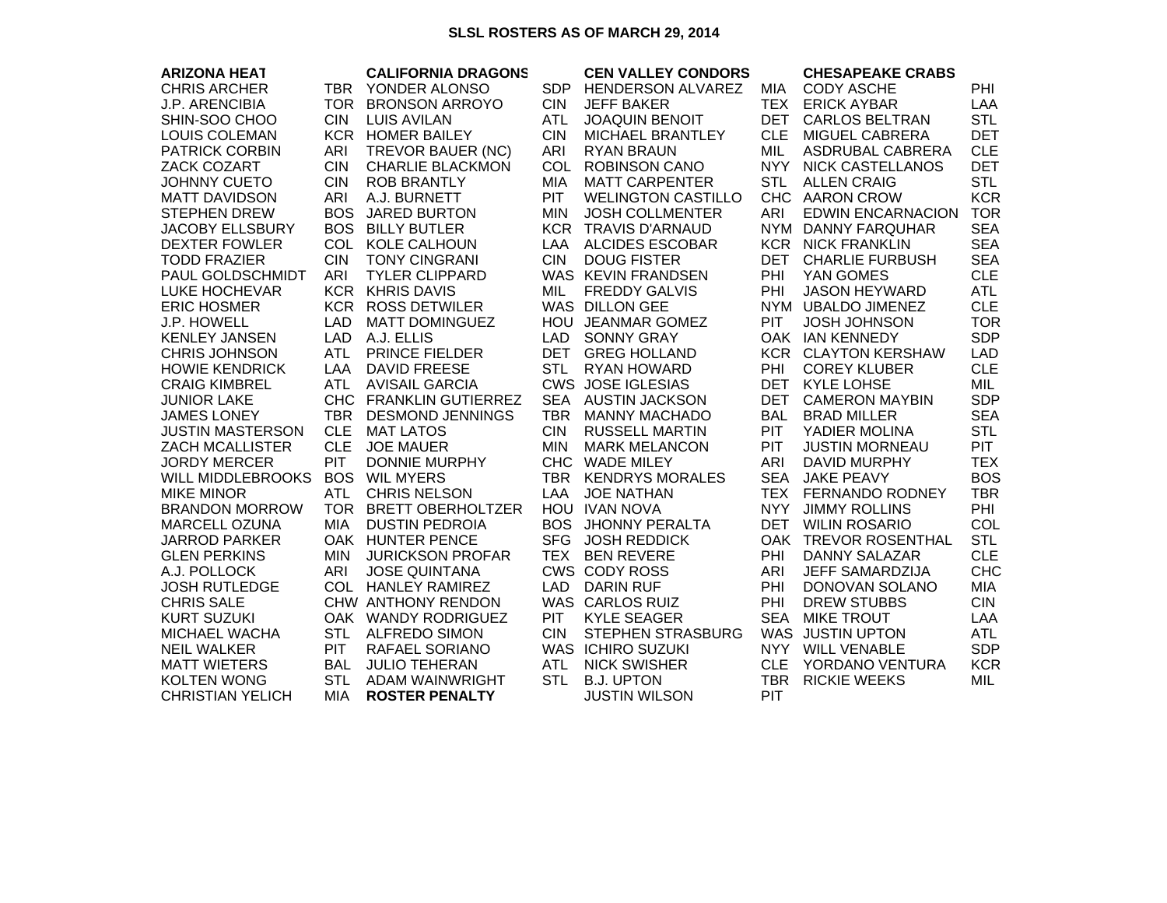## **SLSL ROSTERS AS OF MARCH 29, 2014**

| <b>ARIZONA HEAT</b>     |            | <b>CALIFORNIA DRAGONS</b> |            | <b>CEN VALLEY CONDORS</b> |            | <b>CHESAPEAKE CRABS</b>    |            |
|-------------------------|------------|---------------------------|------------|---------------------------|------------|----------------------------|------------|
| <b>CHRIS ARCHER</b>     | <b>TBR</b> | YONDER ALONSO             | <b>SDP</b> | <b>HENDERSON ALVAREZ</b>  | <b>MIA</b> | <b>CODY ASCHE</b>          | <b>PHI</b> |
| <b>J.P. ARENCIBIA</b>   |            | TOR BRONSON ARROYO        | <b>CIN</b> | <b>JEFF BAKER</b>         | <b>TEX</b> | <b>ERICK AYBAR</b>         | LAA        |
| SHIN-SOO CHOO           | <b>CIN</b> | <b>LUIS AVILAN</b>        | <b>ATL</b> | <b>JOAQUIN BENOIT</b>     | <b>DET</b> | <b>CARLOS BELTRAN</b>      | <b>STL</b> |
| <b>LOUIS COLEMAN</b>    |            | <b>KCR HOMER BAILEY</b>   | <b>CIN</b> | <b>MICHAEL BRANTLEY</b>   | <b>CLE</b> | MIGUEL CABRERA             | <b>DET</b> |
| <b>PATRICK CORBIN</b>   | <b>ARI</b> | TREVOR BAUER (NC)         | <b>ARI</b> | <b>RYAN BRAUN</b>         | <b>MIL</b> | ASDRUBAL CABRERA           | <b>CLE</b> |
| <b>ZACK COZART</b>      | <b>CIN</b> | <b>CHARLIE BLACKMON</b>   | <b>COL</b> | <b>ROBINSON CANO</b>      | <b>NYY</b> | <b>NICK CASTELLANOS</b>    | <b>DET</b> |
| <b>JOHNNY CUETO</b>     | <b>CIN</b> | <b>ROB BRANTLY</b>        | MIA        | <b>MATT CARPENTER</b>     | <b>STL</b> | <b>ALLEN CRAIG</b>         | <b>STL</b> |
| <b>MATT DAVIDSON</b>    | <b>ARI</b> | A.J. BURNETT              | <b>PIT</b> | <b>WELINGTON CASTILLO</b> |            | CHC AARON CROW             | <b>KCR</b> |
| <b>STEPHEN DREW</b>     | <b>BOS</b> | <b>JARED BURTON</b>       | <b>MIN</b> | <b>JOSH COLLMENTER</b>    | ARI        | <b>EDWIN ENCARNACION</b>   | <b>TOR</b> |
| <b>JACOBY ELLSBURY</b>  | <b>BOS</b> | <b>BILLY BUTLER</b>       | <b>KCR</b> | <b>TRAVIS D'ARNAUD</b>    |            | NYM DANNY FARQUHAR         | <b>SEA</b> |
| <b>DEXTER FOWLER</b>    | <b>COL</b> | <b>KOLE CALHOUN</b>       | LAA        | <b>ALCIDES ESCOBAR</b>    |            | <b>KCR NICK FRANKLIN</b>   | <b>SEA</b> |
| <b>TODD FRAZIER</b>     | <b>CIN</b> | <b>TONY CINGRANI</b>      | <b>CIN</b> | <b>DOUG FISTER</b>        | <b>DET</b> | <b>CHARLIE FURBUSH</b>     | <b>SEA</b> |
| PAUL GOLDSCHMIDT        | <b>ARI</b> | <b>TYLER CLIPPARD</b>     |            | WAS KEVIN FRANDSEN        | PHI        | YAN GOMES                  | <b>CLE</b> |
| <b>LUKE HOCHEVAR</b>    |            | <b>KCR KHRIS DAVIS</b>    | <b>MIL</b> | <b>FREDDY GALVIS</b>      | PHI        | <b>JASON HEYWARD</b>       | ATL        |
| <b>ERIC HOSMER</b>      |            | <b>KCR ROSS DETWILER</b>  |            | <b>WAS DILLON GEE</b>     |            | NYM UBALDO JIMENEZ         | <b>CLE</b> |
| J.P. HOWELL             | <b>LAD</b> | <b>MATT DOMINGUEZ</b>     | <b>HOU</b> | <b>JEANMAR GOMEZ</b>      | PIT        | <b>JOSH JOHNSON</b>        | <b>TOR</b> |
| <b>KENLEY JANSEN</b>    | <b>LAD</b> | A.J. ELLIS                | <b>LAD</b> | <b>SONNY GRAY</b>         |            | OAK IAN KENNEDY            | <b>SDP</b> |
| <b>CHRIS JOHNSON</b>    | <b>ATL</b> | <b>PRINCE FIELDER</b>     | DET        | <b>GREG HOLLAND</b>       |            | <b>KCR CLAYTON KERSHAW</b> | <b>LAD</b> |
| <b>HOWIE KENDRICK</b>   | LAA        | <b>DAVID FREESE</b>       | <b>STL</b> | <b>RYAN HOWARD</b>        | PHI        | <b>COREY KLUBER</b>        | <b>CLE</b> |
| <b>CRAIG KIMBREL</b>    | <b>ATL</b> | <b>AVISAIL GARCIA</b>     |            | <b>CWS JOSE IGLESIAS</b>  | <b>DET</b> | <b>KYLE LOHSE</b>          | MIL        |
| <b>JUNIOR LAKE</b>      |            | CHC FRANKLIN GUTIERREZ    | <b>SEA</b> | <b>AUSTIN JACKSON</b>     | <b>DET</b> | <b>CAMERON MAYBIN</b>      | <b>SDP</b> |
| <b>JAMES LONEY</b>      | <b>TBR</b> | <b>DESMOND JENNINGS</b>   | <b>TBR</b> | <b>MANNY MACHADO</b>      | <b>BAL</b> | <b>BRAD MILLER</b>         | <b>SEA</b> |
| <b>JUSTIN MASTERSON</b> | <b>CLE</b> | <b>MAT LATOS</b>          | <b>CIN</b> | <b>RUSSELL MARTIN</b>     | <b>PIT</b> | YADIER MOLINA              | <b>STL</b> |
| <b>ZACH MCALLISTER</b>  | <b>CLE</b> | <b>JOE MAUER</b>          | <b>MIN</b> | <b>MARK MELANCON</b>      | <b>PIT</b> | <b>JUSTIN MORNEAU</b>      | <b>PIT</b> |
| <b>JORDY MERCER</b>     | PIT        | <b>DONNIE MURPHY</b>      | <b>CHC</b> | <b>WADE MILEY</b>         | ARI        | <b>DAVID MURPHY</b>        | <b>TEX</b> |
| WILL MIDDLEBROOKS       | <b>BOS</b> | <b>WIL MYERS</b>          | TBR        | <b>KENDRYS MORALES</b>    | <b>SEA</b> | <b>JAKE PEAVY</b>          | <b>BOS</b> |
| <b>MIKE MINOR</b>       | <b>ATL</b> | <b>CHRIS NELSON</b>       | LAA        | <b>JOE NATHAN</b>         | <b>TEX</b> | <b>FERNANDO RODNEY</b>     | <b>TBR</b> |
| <b>BRANDON MORROW</b>   | <b>TOR</b> | <b>BRETT OBERHOLTZER</b>  |            | HOU IVAN NOVA             | <b>NYY</b> | <b>JIMMY ROLLINS</b>       | PHI        |
| <b>MARCELL OZUNA</b>    | <b>MIA</b> | <b>DUSTIN PEDROIA</b>     | <b>BOS</b> | <b>JHONNY PERALTA</b>     | DET        | <b>WILIN ROSARIO</b>       | COL        |
| <b>JARROD PARKER</b>    |            | OAK HUNTER PENCE          | <b>SFG</b> | <b>JOSH REDDICK</b>       |            | OAK TREVOR ROSENTHAL       | <b>STL</b> |
| <b>GLEN PERKINS</b>     | <b>MIN</b> | <b>JURICKSON PROFAR</b>   | <b>TEX</b> | <b>BEN REVERE</b>         | <b>PHI</b> | <b>DANNY SALAZAR</b>       | <b>CLE</b> |
| A.J. POLLOCK            | ARI        | <b>JOSE QUINTANA</b>      |            | <b>CWS CODY ROSS</b>      | ARI        | <b>JEFF SAMARDZIJA</b>     | <b>CHC</b> |
| <b>JOSH RUTLEDGE</b>    | <b>COL</b> | <b>HANLEY RAMIREZ</b>     | <b>LAD</b> | <b>DARIN RUF</b>          | PHI        | DONOVAN SOLANO             | <b>MIA</b> |
| <b>CHRIS SALE</b>       |            | CHW ANTHONY RENDON        |            | WAS CARLOS RUIZ           | PHI        | <b>DREW STUBBS</b>         | <b>CIN</b> |
| <b>KURT SUZUKI</b>      |            | OAK WANDY RODRIGUEZ       | <b>PIT</b> | <b>KYLE SEAGER</b>        | <b>SEA</b> | <b>MIKE TROUT</b>          | LAA        |
| <b>MICHAEL WACHA</b>    | <b>STL</b> | <b>ALFREDO SIMON</b>      | <b>CIN</b> | <b>STEPHEN STRASBURG</b>  |            | WAS JUSTIN UPTON           | <b>ATL</b> |
| <b>NEIL WALKER</b>      | <b>PIT</b> | RAFAEL SORIANO            |            | <b>WAS ICHIRO SUZUKI</b>  | <b>NYY</b> | <b>WILL VENABLE</b>        | <b>SDP</b> |
| <b>MATT WIETERS</b>     | <b>BAL</b> | <b>JULIO TEHERAN</b>      | <b>ATL</b> | <b>NICK SWISHER</b>       | <b>CLE</b> | YORDANO VENTURA            | <b>KCR</b> |
| <b>KOLTEN WONG</b>      | <b>STL</b> | <b>ADAM WAINWRIGHT</b>    | <b>STL</b> | <b>B.J. UPTON</b>         | <b>TBR</b> | <b>RICKIE WEEKS</b>        | MIL        |
| <b>CHRISTIAN YELICH</b> | <b>MIA</b> | <b>ROSTER PENALTY</b>     |            | <b>JUSTIN WILSON</b>      | PIT        |                            |            |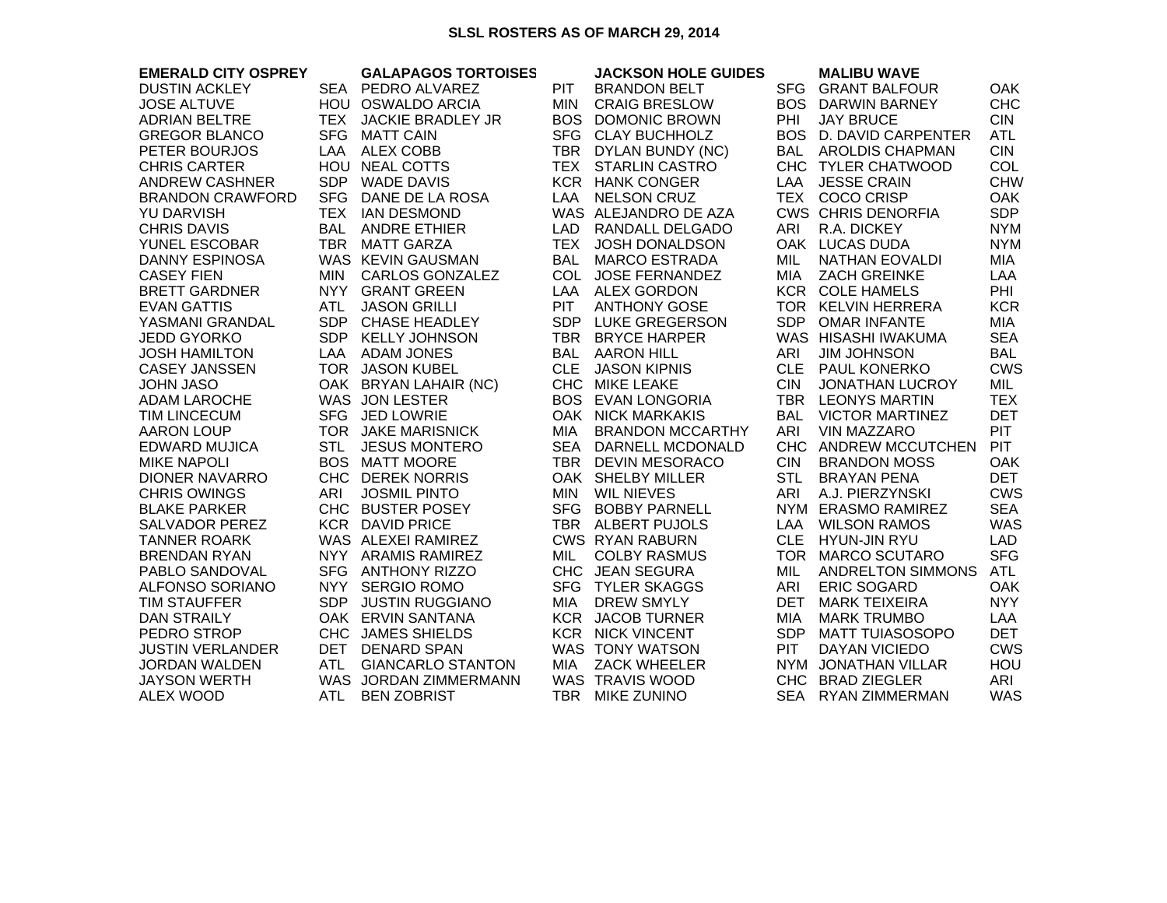## **SLSL ROSTERS AS OF MARCH 29, 2014**

| <b>EMERALD CITY OSPREY</b> |            | <b>GALAPAGOS TORTOISES</b> |            | <b>JACKSON HOLE GUIDES</b> |            | <b>MALIBU WAVE</b>         |            |
|----------------------------|------------|----------------------------|------------|----------------------------|------------|----------------------------|------------|
| <b>DUSTIN ACKLEY</b>       |            | SEA PEDRO ALVAREZ          | <b>PIT</b> | <b>BRANDON BELT</b>        |            | SFG GRANT BALFOUR          | <b>OAK</b> |
| <b>JOSE ALTUVE</b>         |            | HOU OSWALDO ARCIA          | MIN        | <b>CRAIG BRESLOW</b>       |            | <b>BOS DARWIN BARNEY</b>   | <b>CHC</b> |
| <b>ADRIAN BELTRE</b>       | TEX        | <b>JACKIE BRADLEY JR</b>   |            | <b>BOS DOMONIC BROWN</b>   | PHI        | <b>JAY BRUCE</b>           | <b>CIN</b> |
| <b>GREGOR BLANCO</b>       | <b>SFG</b> | MATT CAIN                  |            | SFG CLAY BUCHHOLZ          |            | BOS D. DAVID CARPENTER     | <b>ATL</b> |
| PETER BOURJOS              |            | LAA ALEX COBB              |            | TBR DYLAN BUNDY (NC)       |            | BAL AROLDIS CHAPMAN        | <b>CIN</b> |
| <b>CHRIS CARTER</b>        |            | HOU NEAL COTTS             |            | TEX STARLIN CASTRO         |            | CHC TYLER CHATWOOD         | COL        |
| <b>ANDREW CASHNER</b>      |            | SDP WADE DAVIS             |            | <b>KCR HANK CONGER</b>     |            | LAA JESSE CRAIN            | <b>CHW</b> |
| <b>BRANDON CRAWFORD</b>    | <b>SFG</b> | DANE DE LA ROSA            | LAA        | <b>NELSON CRUZ</b>         |            | TEX COCO CRISP             | <b>OAK</b> |
| YU DARVISH                 |            | TEX IAN DESMOND            |            | WAS ALEJANDRO DE AZA       |            | <b>CWS CHRIS DENORFIA</b>  | <b>SDP</b> |
| <b>CHRIS DAVIS</b>         |            | <b>BAL ANDRE ETHIER</b>    |            | LAD RANDALL DELGADO        | ARI        | R.A. DICKEY                | <b>NYM</b> |
| YUNEL ESCOBAR              |            | TBR MATT GARZA             |            | TEX JOSH DONALDSON         |            | OAK LUCAS DUDA             | <b>NYM</b> |
| <b>DANNY ESPINOSA</b>      |            | WAS KEVIN GAUSMAN          |            | BAL MARCO ESTRADA          | MIL        | NATHAN EOVALDI             | MIA        |
| <b>CASEY FIEN</b>          | MIN        | CARLOS GONZALEZ            |            | COL JOSE FERNANDEZ         | MIA        | <b>ZACH GREINKE</b>        | LAA        |
| <b>BRETT GARDNER</b>       |            | NYY GRANT GREEN            |            | LAA ALEX GORDON            |            | <b>KCR COLE HAMELS</b>     | <b>PHI</b> |
| <b>EVAN GATTIS</b>         | <b>ATL</b> | <b>JASON GRILLI</b>        | <b>PIT</b> | <b>ANTHONY GOSE</b>        |            | TOR KELVIN HERRERA         | <b>KCR</b> |
| YASMANI GRANDAL            |            | SDP CHASE HEADLEY          |            | SDP LUKE GREGERSON         |            | SDP OMAR INFANTE           | <b>MIA</b> |
| <b>JEDD GYORKO</b>         |            | SDP KELLY JOHNSON          |            | TBR BRYCE HARPER           |            | WAS HISASHI IWAKUMA        | <b>SEA</b> |
| <b>JOSH HAMILTON</b>       |            | LAA ADAM JONES             |            | <b>BAL AARON HILL</b>      | ARI        | <b>JIM JOHNSON</b>         | <b>BAL</b> |
| <b>CASEY JANSSEN</b>       |            | TOR JASON KUBEL            | <b>CLE</b> | <b>JASON KIPNIS</b>        |            | CLE PAUL KONERKO           | <b>CWS</b> |
| <b>JOHN JASO</b>           |            | OAK BRYAN LAHAIR (NC)      |            | CHC MIKE LEAKE             | <b>CIN</b> | <b>JONATHAN LUCROY</b>     | MIL        |
| <b>ADAM LAROCHE</b>        |            | WAS JON LESTER             |            | <b>BOS EVAN LONGORIA</b>   |            | TBR LEONYS MARTIN          | <b>TEX</b> |
| <b>TIM LINCECUM</b>        |            | SFG JED LOWRIE             |            | OAK NICK MARKAKIS          |            | <b>BAL VICTOR MARTINEZ</b> | <b>DET</b> |
| <b>AARON LOUP</b>          |            | TOR JAKE MARISNICK         |            | MIA BRANDON MCCARTHY       | ARI        | <b>VIN MAZZARO</b>         | <b>PIT</b> |
| <b>EDWARD MUJICA</b>       | <b>STL</b> | <b>JESUS MONTERO</b>       |            | SEA DARNELL MCDONALD       |            | CHC ANDREW MCCUTCHEN       | <b>PIT</b> |
| <b>MIKE NAPOLI</b>         |            | <b>BOS MATT MOORE</b>      |            | TBR DEVIN MESORACO         | <b>CIN</b> | <b>BRANDON MOSS</b>        | <b>OAK</b> |
| <b>DIONER NAVARRO</b>      |            | CHC DEREK NORRIS           |            | OAK SHELBY MILLER          | <b>STL</b> | <b>BRAYAN PENA</b>         | <b>DET</b> |
| <b>CHRIS OWINGS</b>        | ARI        | <b>JOSMIL PINTO</b>        |            | MIN WIL NIEVES             | ARI        | A.J. PIERZYNSKI            | <b>CWS</b> |
| <b>BLAKE PARKER</b>        |            | CHC BUSTER POSEY           |            | SFG BOBBY PARNELL          |            | NYM ERASMO RAMIREZ         | <b>SEA</b> |
| <b>SALVADOR PEREZ</b>      |            | <b>KCR DAVID PRICE</b>     |            | TBR ALBERT PUJOLS          | LAA        | <b>WILSON RAMOS</b>        | <b>WAS</b> |
| <b>TANNER ROARK</b>        |            | WAS ALEXEI RAMIREZ         |            | <b>CWS RYAN RABURN</b>     |            | CLE HYUN-JIN RYU           | LAD        |
| <b>BRENDAN RYAN</b>        |            | NYY ARAMIS RAMIREZ         | MIL        | <b>COLBY RASMUS</b>        |            | TOR MARCO SCUTARO          | <b>SFG</b> |
| PABLO SANDOVAL             |            | SFG ANTHONY RIZZO          |            | CHC JEAN SEGURA            | MIL        | <b>ANDRELTON SIMMONS</b>   | <b>ATL</b> |
| <b>ALFONSO SORIANO</b>     |            | NYY SERGIO ROMO            |            | SFG TYLER SKAGGS           | ARI        | <b>ERIC SOGARD</b>         | <b>OAK</b> |
| <b>TIM STAUFFER</b>        | SDP        | <b>JUSTIN RUGGIANO</b>     | MIA        | <b>DREW SMYLY</b>          | DET        | <b>MARK TEIXEIRA</b>       | <b>NYY</b> |
| <b>DAN STRAILY</b>         |            | OAK ERVIN SANTANA          |            | <b>KCR JACOB TURNER</b>    | MIA        | <b>MARK TRUMBO</b>         | LAA        |
| PEDRO STROP                |            | CHC JAMES SHIELDS          |            | <b>KCR NICK VINCENT</b>    | <b>SDP</b> | <b>MATT TUIASOSOPO</b>     | <b>DET</b> |
| <b>JUSTIN VERLANDER</b>    |            | DET DENARD SPAN            |            | WAS TONY WATSON            | <b>PIT</b> | DAYAN VICIEDO              | <b>CWS</b> |
| <b>JORDAN WALDEN</b>       | ATL        | <b>GIANCARLO STANTON</b>   | MIA        | <b>ZACK WHEELER</b>        |            | NYM JONATHAN VILLAR        | HOU        |
| <b>JAYSON WERTH</b>        |            | WAS JORDAN ZIMMERMANN      |            | WAS TRAVIS WOOD            |            | CHC BRAD ZIEGLER           | ARI        |
| ALEX WOOD                  | ATL        | <b>BEN ZOBRIST</b>         |            | TBR MIKE ZUNINO            |            | SEA RYAN ZIMMERMAN         | <b>WAS</b> |